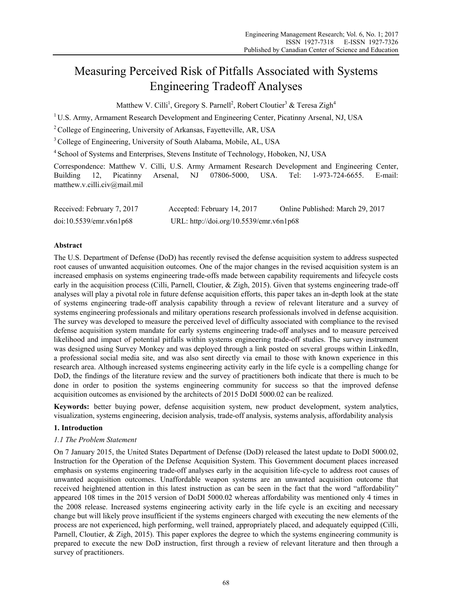# Measuring Perceived Risk of Pitfalls Associated with Systems Engineering Tradeoff Analyses

Matthew V. Cilli<sup>1</sup>, Gregory S. Parnell<sup>2</sup>, Robert Cloutier<sup>3</sup> & Teresa Zigh<sup>4</sup>

<sup>1</sup> U.S. Army, Armament Research Development and Engineering Center, Picatinny Arsenal, NJ, USA

<sup>2</sup> College of Engineering, University of Arkansas, Fayetteville, AR, USA

<sup>3</sup> College of Engineering, University of South Alabama, Mobile, AL, USA

4 School of Systems and Enterprises, Stevens Institute of Technology, Hoboken, NJ, USA

Correspondence: Matthew V. Cilli, U.S. Army Armament Research Development and Engineering Center, Building 12, Picatinny Arsenal, NJ 07806-5000, USA. Tel: 1-973-724-6655. E-mail: matthew.v.cilli.civ@mail.mil

| Received: February 7, 2017 | Accepted: February 14, 2017             | Online Published: March 29, 2017 |
|----------------------------|-----------------------------------------|----------------------------------|
| doi:10.5539/emr.v6n1p68    | URL: http://doi.org/10.5539/emr.v6n1p68 |                                  |

# **Abstract**

The U.S. Department of Defense (DoD) has recently revised the defense acquisition system to address suspected root causes of unwanted acquisition outcomes. One of the major changes in the revised acquisition system is an increased emphasis on systems engineering trade-offs made between capability requirements and lifecycle costs early in the acquisition process (Cilli, Parnell, Cloutier, & Zigh, 2015). Given that systems engineering trade-off analyses will play a pivotal role in future defense acquisition efforts, this paper takes an in-depth look at the state of systems engineering trade-off analysis capability through a review of relevant literature and a survey of systems engineering professionals and military operations research professionals involved in defense acquisition. The survey was developed to measure the perceived level of difficulty associated with compliance to the revised defense acquisition system mandate for early systems engineering trade-off analyses and to measure perceived likelihood and impact of potential pitfalls within systems engineering trade-off studies. The survey instrument was designed using Survey Monkey and was deployed through a link posted on several groups within LinkedIn, a professional social media site, and was also sent directly via email to those with known experience in this research area. Although increased systems engineering activity early in the life cycle is a compelling change for DoD, the findings of the literature review and the survey of practitioners both indicate that there is much to be done in order to position the systems engineering community for success so that the improved defense acquisition outcomes as envisioned by the architects of 2015 DoDI 5000.02 can be realized.

**Keywords:** better buying power, defense acquisition system, new product development, system analytics, visualization, systems engineering, decision analysis, trade-off analysis, systems analysis, affordability analysis

# **1. Introduction**

# *1.1 The Problem Statement*

On 7 January 2015, the United States Department of Defense (DoD) released the latest update to DoDI 5000.02, Instruction for the Operation of the Defense Acquisition System. This Government document places increased emphasis on systems engineering trade-off analyses early in the acquisition life-cycle to address root causes of unwanted acquisition outcomes. Unaffordable weapon systems are an unwanted acquisition outcome that received heightened attention in this latest instruction as can be seen in the fact that the word "affordability" appeared 108 times in the 2015 version of DoDI 5000.02 whereas affordability was mentioned only 4 times in the 2008 release. Increased systems engineering activity early in the life cycle is an exciting and necessary change but will likely prove insufficient if the systems engineers charged with executing the new elements of the process are not experienced, high performing, well trained, appropriately placed, and adequately equipped (Cilli, Parnell, Cloutier, & Zigh, 2015). This paper explores the degree to which the systems engineering community is prepared to execute the new DoD instruction, first through a review of relevant literature and then through a survey of practitioners.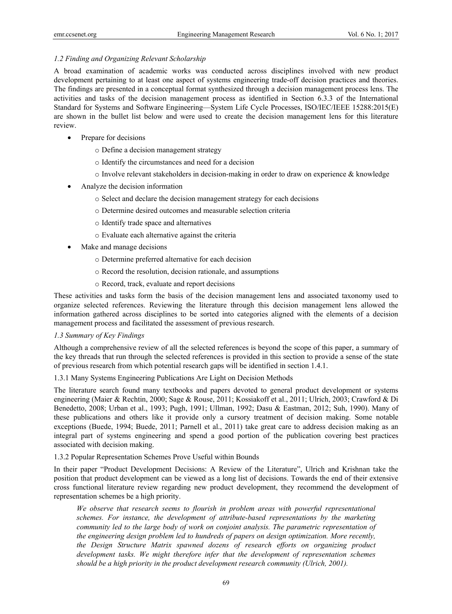# *1.2 Finding and Organizing Relevant Scholarship*

A broad examination of academic works was conducted across disciplines involved with new product development pertaining to at least one aspect of systems engineering trade-off decision practices and theories. The findings are presented in a conceptual format synthesized through a decision management process lens. The activities and tasks of the decision management process as identified in Section 6.3.3 of the International Standard for Systems and Software Engineering—System Life Cycle Processes, ISO/IEC/IEEE 15288:2015(E) are shown in the bullet list below and were used to create the decision management lens for this literature review.

- Prepare for decisions
	- o Define a decision management strategy
	- o Identify the circumstances and need for a decision
	- $\circ$  Involve relevant stakeholders in decision-making in order to draw on experience & knowledge
- Analyze the decision information
	- o Select and declare the decision management strategy for each decisions
	- o Determine desired outcomes and measurable selection criteria
	- o Identify trade space and alternatives
	- o Evaluate each alternative against the criteria
- Make and manage decisions
	- o Determine preferred alternative for each decision
	- o Record the resolution, decision rationale, and assumptions
	- o Record, track, evaluate and report decisions

These activities and tasks form the basis of the decision management lens and associated taxonomy used to organize selected references. Reviewing the literature through this decision management lens allowed the information gathered across disciplines to be sorted into categories aligned with the elements of a decision management process and facilitated the assessment of previous research.

# *1.3 Summary of Key Findings*

Although a comprehensive review of all the selected references is beyond the scope of this paper, a summary of the key threads that run through the selected references is provided in this section to provide a sense of the state of previous research from which potential research gaps will be identified in section 1.4.1.

1.3.1 Many Systems Engineering Publications Are Light on Decision Methods

The literature search found many textbooks and papers devoted to general product development or systems engineering (Maier & Rechtin, 2000; Sage & Rouse, 2011; Kossiakoff et al., 2011; Ulrich, 2003; Crawford & Di Benedetto, 2008; Urban et al., 1993; Pugh, 1991; Ullman, 1992; Dasu & Eastman, 2012; Suh, 1990). Many of these publications and others like it provide only a cursory treatment of decision making. Some notable exceptions (Buede, 1994; Buede, 2011; Parnell et al., 2011) take great care to address decision making as an integral part of systems engineering and spend a good portion of the publication covering best practices associated with decision making.

# 1.3.2 Popular Representation Schemes Prove Useful within Bounds

In their paper "Product Development Decisions: A Review of the Literature", Ulrich and Krishnan take the position that product development can be viewed as a long list of decisions. Towards the end of their extensive cross functional literature review regarding new product development, they recommend the development of representation schemes be a high priority.

*We observe that research seems to flourish in problem areas with powerful representational schemes. For instance, the development of attribute-based representations by the marketing community led to the large body of work on conjoint analysis. The parametric representation of the engineering design problem led to hundreds of papers on design optimization. More recently, the Design Structure Matrix spawned dozens of research efforts on organizing product*  development tasks. We might therefore infer that the development of representation schemes *should be a high priority in the product development research community (Ulrich, 2001).*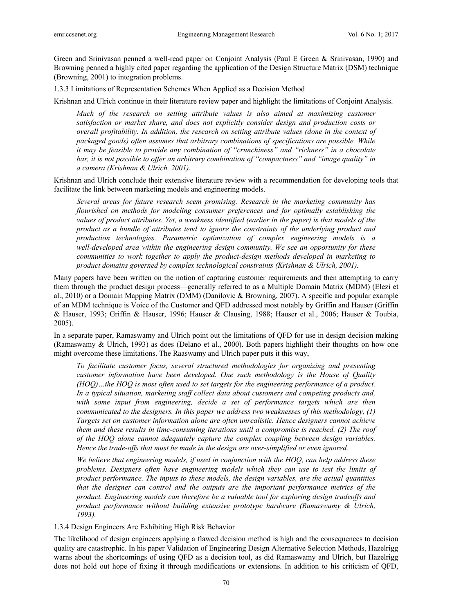Green and Srinivasan penned a well-read paper on Conjoint Analysis (Paul E Green & Srinivasan, 1990) and Browning penned a highly cited paper regarding the application of the Design Structure Matrix (DSM) technique (Browning, 2001) to integration problems.

1.3.3 Limitations of Representation Schemes When Applied as a Decision Method

Krishnan and Ulrich continue in their literature review paper and highlight the limitations of Conjoint Analysis.

*Much of the research on setting attribute values is also aimed at maximizing customer satisfaction or market share, and does not explicitly consider design and production costs or overall profitability. In addition, the research on setting attribute values (done in the context of packaged goods) often assumes that arbitrary combinations of specifications are possible. While it may be feasible to provide any combination of "crunchiness" and "richness" in a chocolate bar, it is not possible to offer an arbitrary combination of "compactness" and "image quality" in a camera (Krishnan & Ulrich, 2001).* 

Krishnan and Ulrich conclude their extensive literature review with a recommendation for developing tools that facilitate the link between marketing models and engineering models.

*Several areas for future research seem promising. Research in the marketing community has flourished on methods for modeling consumer preferences and for optimally establishing the values of product attributes. Yet, a weakness identified (earlier in the paper) is that models of the product as a bundle of attributes tend to ignore the constraints of the underlying product and production technologies. Parametric optimization of complex engineering models is a well-developed area within the engineering design community. We see an opportunity for these communities to work together to apply the product-design methods developed in marketing to product domains governed by complex technological constraints (Krishnan & Ulrich, 2001).* 

Many papers have been written on the notion of capturing customer requirements and then attempting to carry them through the product design process—generally referred to as a Multiple Domain Matrix (MDM) (Elezi et al., 2010) or a Domain Mapping Matrix (DMM) (Danilovic & Browning, 2007). A specific and popular example of an MDM technique is Voice of the Customer and QFD addressed most notably by Griffin and Hauser (Griffin & Hauser, 1993; Griffin & Hauser, 1996; Hauser & Clausing, 1988; Hauser et al., 2006; Hauser & Toubia, 2005).

In a separate paper, Ramaswamy and Ulrich point out the limitations of QFD for use in design decision making (Ramaswamy & Ulrich, 1993) as does (Delano et al., 2000). Both papers highlight their thoughts on how one might overcome these limitations. The Raaswamy and Ulrich paper puts it this way,

*To facilitate customer focus, several structured methodologies for organizing and presenting customer information have been developed. One such methodology is the House of Quality (HOQ)…the HOQ is most often used to set targets for the engineering performance of a product. In a typical situation, marketing staff collect data about customers and competing products and,*  with some input from engineering, decide a set of performance targets which are then *communicated to the designers. In this paper we address two weaknesses of this methodology, (1) Targets set on customer information alone are often unrealistic. Hence designers cannot achieve them and these results in time-consuming iterations until a compromise is reached. (2) The roof of the HOQ alone cannot adequately capture the complex coupling between design variables. Hence the trade-offs that must be made in the design are over-simplified or even ignored.* 

*We believe that engineering models, if used in conjunction with the HOQ, can help address these problems. Designers often have engineering models which they can use to test the limits of product performance. The inputs to these models, the design variables, are the actual quantities that the designer can control and the outputs are the important performance metrics of the product. Engineering models can therefore be a valuable tool for exploring design tradeoffs and product performance without building extensive prototype hardware (Ramaswamy & Ulrich, 1993).* 

# 1.3.4 Design Engineers Are Exhibiting High Risk Behavior

The likelihood of design engineers applying a flawed decision method is high and the consequences to decision quality are catastrophic. In his paper Validation of Engineering Design Alternative Selection Methods, Hazelrigg warns about the shortcomings of using QFD as a decision tool, as did Ramaswamy and Ulrich, but Hazelrigg does not hold out hope of fixing it through modifications or extensions. In addition to his criticism of QFD,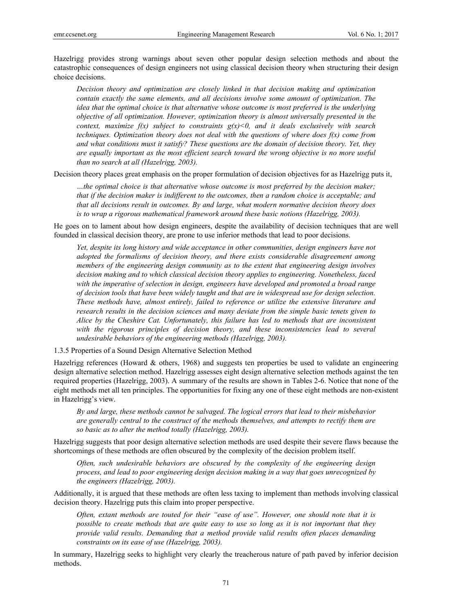Hazelrigg provides strong warnings about seven other popular design selection methods and about the catastrophic consequences of design engineers not using classical decision theory when structuring their design choice decisions.

*Decision theory and optimization are closely linked in that decision making and optimization contain exactly the same elements, and all decisions involve some amount of optimization. The idea that the optimal choice is that alternative whose outcome is most preferred is the underlying objective of all optimization. However, optimization theory is almost universally presented in the context, maximize f(x) subject to constraints*  $g(x) < 0$ *, and it deals exclusively with search techniques. Optimization theory does not deal with the questions of where does f(x) come from and what conditions must it satisfy? These questions are the domain of decision theory. Yet, they are equally important as the most efficient search toward the wrong objective is no more useful than no search at all (Hazelrigg, 2003).* 

Decision theory places great emphasis on the proper formulation of decision objectives for as Hazelrigg puts it,

*…the optimal choice is that alternative whose outcome is most preferred by the decision maker; that if the decision maker is indifferent to the outcomes, then a random choice is acceptable; and that all decisions result in outcomes. By and large, what modern normative decision theory does*  is to wrap a rigorous mathematical framework around these basic notions (Hazelrigg, 2003).

He goes on to lament about how design engineers, despite the availability of decision techniques that are well founded in classical decision theory, are prone to use inferior methods that lead to poor decisions.

*Yet, despite its long history and wide acceptance in other communities, design engineers have not adopted the formalisms of decision theory, and there exists considerable disagreement among members of the engineering design community as to the extent that engineering design involves decision making and to which classical decision theory applies to engineering. Nonetheless, faced with the imperative of selection in design, engineers have developed and promoted a broad range of decision tools that have been widely taught and that are in widespread use for design selection. These methods have, almost entirely, failed to reference or utilize the extensive literature and research results in the decision sciences and many deviate from the simple basic tenets given to Alice by the Cheshire Cat. Unfortunately, this failure has led to methods that are inconsistent*  with the rigorous principles of decision theory, and these inconsistencies lead to several *undesirable behaviors of the engineering methods (Hazelrigg, 2003).* 

# 1.3.5 Properties of a Sound Design Alternative Selection Method

Hazelrigg references (Howard & others, 1968) and suggests ten properties be used to validate an engineering design alternative selection method. Hazelrigg assesses eight design alternative selection methods against the ten required properties (Hazelrigg, 2003). A summary of the results are shown in Tables 2-6. Notice that none of the eight methods met all ten principles. The opportunities for fixing any one of these eight methods are non-existent in Hazelrigg's view.

*By and large, these methods cannot be salvaged. The logical errors that lead to their misbehavior are generally central to the construct of the methods themselves, and attempts to rectify them are so basic as to alter the method totally (Hazelrigg, 2003).* 

Hazelrigg suggests that poor design alternative selection methods are used despite their severe flaws because the shortcomings of these methods are often obscured by the complexity of the decision problem itself.

*Often, such undesirable behaviors are obscured by the complexity of the engineering design process, and lead to poor engineering design decision making in a way that goes unrecognized by the engineers (Hazelrigg, 2003).* 

Additionally, it is argued that these methods are often less taxing to implement than methods involving classical decision theory. Hazelrigg puts this claim into proper perspective.

*Often, extant methods are touted for their "ease of use". However, one should note that it is possible to create methods that are quite easy to use so long as it is not important that they provide valid results. Demanding that a method provide valid results often places demanding constraints on its ease of use (Hazelrigg, 2003).* 

In summary, Hazelrigg seeks to highlight very clearly the treacherous nature of path paved by inferior decision methods.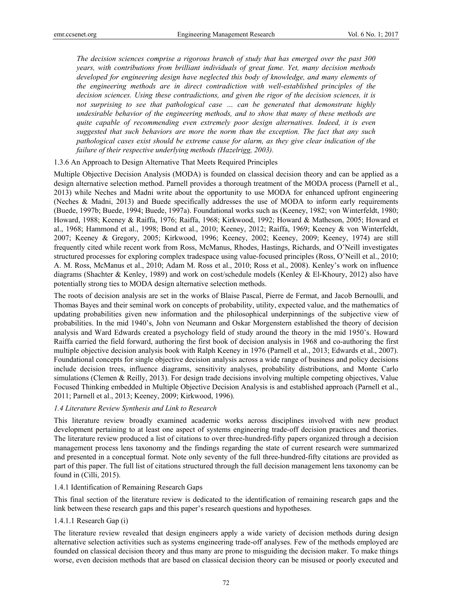*The decision sciences comprise a rigorous branch of study that has emerged over the past 300 years, with contributions from brilliant individuals of great fame. Yet, many decision methods developed for engineering design have neglected this body of knowledge, and many elements of the engineering methods are in direct contradiction with well-established principles of the decision sciences. Using these contradictions, and given the rigor of the decision sciences, it is not surprising to see that pathological case … can be generated that demonstrate highly undesirable behavior of the engineering methods, and to show that many of these methods are quite capable of recommending even extremely poor design alternatives. Indeed, it is even suggested that such behaviors are more the norm than the exception. The fact that any such pathological cases exist should be extreme cause for alarm, as they give clear indication of the failure of their respective underlying methods (Hazelrigg, 2003).* 

# 1.3.6 An Approach to Design Alternative That Meets Required Principles

Multiple Objective Decision Analysis (MODA) is founded on classical decision theory and can be applied as a design alternative selection method. Parnell provides a thorough treatment of the MODA process (Parnell et al., 2013) while Neches and Madni write about the opportunity to use MODA for enhanced upfront engineering (Neches & Madni, 2013) and Buede specifically addresses the use of MODA to inform early requirements (Buede, 1997b; Buede, 1994; Buede, 1997a). Foundational works such as (Keeney, 1982; von Winterfeldt, 1980; Howard, 1988; Keeney & Raiffa, 1976; Raiffa, 1968; Kirkwood, 1992; Howard & Matheson, 2005; Howard et al., 1968; Hammond et al., 1998; Bond et al., 2010; Keeney, 2012; Raiffa, 1969; Keeney & von Winterfeldt, 2007; Keeney & Gregory, 2005; Kirkwood, 1996; Keeney, 2002; Keeney, 2009; Keeney, 1974) are still frequently cited while recent work from Ross, McManus, Rhodes, Hastings, Richards, and O'Neill investigates structured processes for exploring complex tradespace using value-focused principles (Ross, O'Neill et al., 2010; A. M. Ross, McManus et al., 2010; Adam M. Ross et al., 2010; Ross et al., 2008). Kenley's work on influence diagrams (Shachter & Kenley, 1989) and work on cost/schedule models (Kenley & El-Khoury, 2012) also have potentially strong ties to MODA design alternative selection methods.

The roots of decision analysis are set in the works of Blaise Pascal, Pierre de Fermat, and Jacob Bernoulli, and Thomas Bayes and their seminal work on concepts of probability, utility, expected value, and the mathematics of updating probabilities given new information and the philosophical underpinnings of the subjective view of probabilities. In the mid 1940's, John von Neumann and Oskar Morgenstern established the theory of decision analysis and Ward Edwards created a psychology field of study around the theory in the mid 1950's. Howard Raiffa carried the field forward, authoring the first book of decision analysis in 1968 and co-authoring the first multiple objective decision analysis book with Ralph Keeney in 1976 (Parnell et al., 2013; Edwards et al., 2007). Foundational concepts for single objective decision analysis across a wide range of business and policy decisions include decision trees, influence diagrams, sensitivity analyses, probability distributions, and Monte Carlo simulations (Clemen & Reilly, 2013). For design trade decisions involving multiple competing objectives, Value Focused Thinking embedded in Multiple Objective Decision Analysis is and established approach (Parnell et al., 2011; Parnell et al., 2013; Keeney, 2009; Kirkwood, 1996).

## *1.4 Literature Review Synthesis and Link to Research*

This literature review broadly examined academic works across disciplines involved with new product development pertaining to at least one aspect of systems engineering trade-off decision practices and theories. The literature review produced a list of citations to over three-hundred-fifty papers organized through a decision management process lens taxonomy and the findings regarding the state of current research were summarized and presented in a conceptual format. Note only seventy of the full three-hundred-fifty citations are provided as part of this paper. The full list of citations structured through the full decision management lens taxonomy can be found in (Cilli, 2015).

## 1.4.1 Identification of Remaining Research Gaps

This final section of the literature review is dedicated to the identification of remaining research gaps and the link between these research gaps and this paper's research questions and hypotheses.

# 1.4.1.1 Research Gap (i)

The literature review revealed that design engineers apply a wide variety of decision methods during design alternative selection activities such as systems engineering trade-off analyses. Few of the methods employed are founded on classical decision theory and thus many are prone to misguiding the decision maker. To make things worse, even decision methods that are based on classical decision theory can be misused or poorly executed and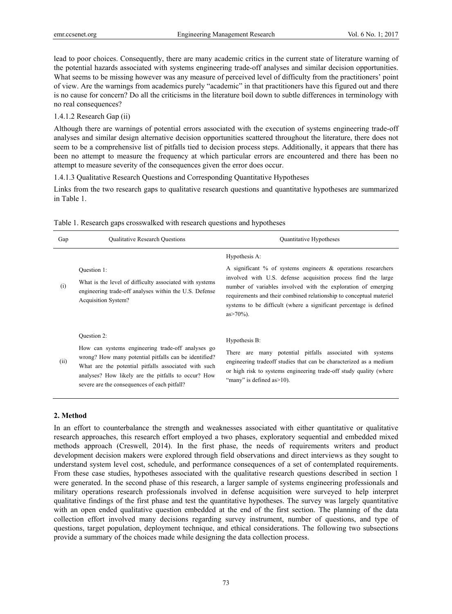lead to poor choices. Consequently, there are many academic critics in the current state of literature warning of the potential hazards associated with systems engineering trade-off analyses and similar decision opportunities. What seems to be missing however was any measure of perceived level of difficulty from the practitioners' point of view. Are the warnings from academics purely "academic" in that practitioners have this figured out and there is no cause for concern? Do all the criticisms in the literature boil down to subtle differences in terminology with no real consequences?

# 1.4.1.2 Research Gap (ii)

Although there are warnings of potential errors associated with the execution of systems engineering trade-off analyses and similar design alternative decision opportunities scattered throughout the literature, there does not seem to be a comprehensive list of pitfalls tied to decision process steps. Additionally, it appears that there has been no attempt to measure the frequency at which particular errors are encountered and there has been no attempt to measure severity of the consequences given the error does occur.

## 1.4.1.3 Qualitative Research Questions and Corresponding Quantitative Hypotheses

Links from the two research gaps to qualitative research questions and quantitative hypotheses are summarized in Table 1.

| Gap  | <b>Qualitative Research Questions</b>                                                                                                                                                                                                                                                    | Quantitative Hypotheses                                                                                                                                                                                                                                                                                                                                                               |
|------|------------------------------------------------------------------------------------------------------------------------------------------------------------------------------------------------------------------------------------------------------------------------------------------|---------------------------------------------------------------------------------------------------------------------------------------------------------------------------------------------------------------------------------------------------------------------------------------------------------------------------------------------------------------------------------------|
| (i)  | Question 1:<br>What is the level of difficulty associated with systems<br>engineering trade-off analyses within the U.S. Defense<br>Acquisition System?                                                                                                                                  | Hypothesis A:<br>A significant $\%$ of systems engineers $\&$ operations researchers<br>involved with U.S. defense acquisition process find the large<br>number of variables involved with the exploration of emerging<br>requirements and their combined relationship to conceptual materiel<br>systems to be difficult (where a significant percentage is defined<br>$as > 70\%$ ). |
| (ii) | Question 2:<br>How can systems engineering trade-off analyses go<br>wrong? How many potential pitfalls can be identified?<br>What are the potential pitfalls associated with such<br>analyses? How likely are the pitfalls to occur? How<br>severe are the consequences of each pitfall? | Hypothesis B:<br>There are many potential pitfalls associated with systems<br>engineering tradeoff studies that can be characterized as a medium<br>or high risk to systems engineering trade-off study quality (where<br>"many" is defined as $>10$ ).                                                                                                                               |

## Table 1. Research gaps crosswalked with research questions and hypotheses

# **2. Method**

In an effort to counterbalance the strength and weaknesses associated with either quantitative or qualitative research approaches, this research effort employed a two phases, exploratory sequential and embedded mixed methods approach (Creswell, 2014). In the first phase, the needs of requirements writers and product development decision makers were explored through field observations and direct interviews as they sought to understand system level cost, schedule, and performance consequences of a set of contemplated requirements. From these case studies, hypotheses associated with the qualitative research questions described in section 1 were generated. In the second phase of this research, a larger sample of systems engineering professionals and military operations research professionals involved in defense acquisition were surveyed to help interpret qualitative findings of the first phase and test the quantitative hypotheses. The survey was largely quantitative with an open ended qualitative question embedded at the end of the first section. The planning of the data collection effort involved many decisions regarding survey instrument, number of questions, and type of questions, target population, deployment technique, and ethical considerations. The following two subsections provide a summary of the choices made while designing the data collection process.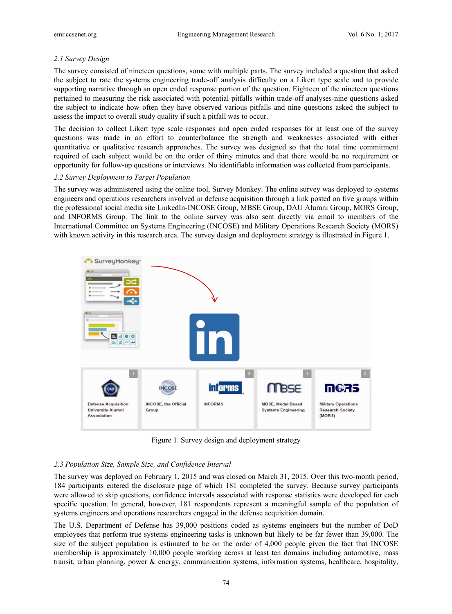# *2.1 Survey Design*

The survey consisted of nineteen questions, some with multiple parts. The survey included a question that asked the subject to rate the systems engineering trade-off analysis difficulty on a Likert type scale and to provide supporting narrative through an open ended response portion of the question. Eighteen of the nineteen questions pertained to measuring the risk associated with potential pitfalls within trade-off analyses-nine questions asked the subject to indicate how often they have observed various pitfalls and nine questions asked the subject to assess the impact to overall study quality if such a pitfall was to occur.

The decision to collect Likert type scale responses and open ended responses for at least one of the survey questions was made in an effort to counterbalance the strength and weaknesses associated with either quantitative or qualitative research approaches. The survey was designed so that the total time commitment required of each subject would be on the order of thirty minutes and that there would be no requirement or opportunity for follow-up questions or interviews. No identifiable information was collected from participants.

# *2.2 Survey Deployment to Target Population*

The survey was administered using the online tool, Survey Monkey. The online survey was deployed to systems engineers and operations researchers involved in defense acquisition through a link posted on five groups within the professional social media site LinkedIn-INCOSE Group, MBSE Group, DAU Alumni Group, MORS Group, and INFORMS Group. The link to the online survey was also sent directly via email to members of the International Committee on Systems Engineering (INCOSE) and Military Operations Research Society (MORS) with known activity in this research area. The survey design and deployment strategy is illustrated in Figure 1.



Figure 1. Survey design and deployment strategy

# *2.3 Population Size, Sample Size, and Confidence Interval*

The survey was deployed on February 1, 2015 and was closed on March 31, 2015. Over this two-month period, 184 participants entered the disclosure page of which 181 completed the survey. Because survey participants were allowed to skip questions, confidence intervals associated with response statistics were developed for each specific question. In general, however, 181 respondents represent a meaningful sample of the population of systems engineers and operations researchers engaged in the defense acquisition domain.

The U.S. Department of Defense has 39,000 positions coded as systems engineers but the number of DoD employees that perform true systems engineering tasks is unknown but likely to be far fewer than 39,000. The size of the subject population is estimated to be on the order of 4,000 people given the fact that INCOSE membership is approximately 10,000 people working across at least ten domains including automotive, mass transit, urban planning, power & energy, communication systems, information systems, healthcare, hospitality,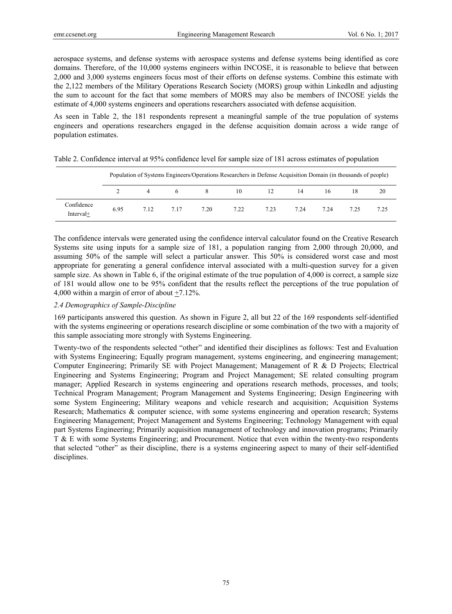aerospace systems, and defense systems with aerospace systems and defense systems being identified as core domains. Therefore, of the 10,000 systems engineers within INCOSE, it is reasonable to believe that between 2,000 and 3,000 systems engineers focus most of their efforts on defense systems. Combine this estimate with the 2,122 members of the Military Operations Research Society (MORS) group within LinkedIn and adjusting the sum to account for the fact that some members of MORS may also be members of INCOSE yields the estimate of 4,000 systems engineers and operations researchers associated with defense acquisition.

As seen in Table 2, the 181 respondents represent a meaningful sample of the true population of systems engineers and operations researchers engaged in the defense acquisition domain across a wide range of population estimates.

| Table 2. Confidence interval at 95% confidence level for sample size of 181 across estimates of population |  |  |  |  |  |  |  |  |
|------------------------------------------------------------------------------------------------------------|--|--|--|--|--|--|--|--|
|------------------------------------------------------------------------------------------------------------|--|--|--|--|--|--|--|--|

|                         |      |           |            |                                    | Population of Systems Engineers/Operations Researchers in Defense Acquisition Domain (in thousands of people) |      |      |      |      |      |
|-------------------------|------|-----------|------------|------------------------------------|---------------------------------------------------------------------------------------------------------------|------|------|------|------|------|
|                         |      | 4         | $6\degree$ | $8\phantom{.00000000000000000000}$ | 10                                                                                                            | 12   | 14   | 16   | 18   | 20   |
| Confidence<br>Interval+ | 6.95 | 7.12 7.17 |            | 7.20                               | 7.22                                                                                                          | 7.23 | 7.24 | 7.24 | 7.25 | 7.25 |

The confidence intervals were generated using the confidence interval calculator found on the Creative Research Systems site using inputs for a sample size of 181, a population ranging from 2,000 through 20,000, and assuming 50% of the sample will select a particular answer. This 50% is considered worst case and most appropriate for generating a general confidence interval associated with a multi-question survey for a given sample size. As shown in Table 6, if the original estimate of the true population of 4,000 is correct, a sample size of 181 would allow one to be 95% confident that the results reflect the perceptions of the true population of 4,000 within a margin of error of about  $\pm$ 7.12%.

## *2.4 Demographics of Sample-Discipline*

169 participants answered this question. As shown in Figure 2, all but 22 of the 169 respondents self-identified with the systems engineering or operations research discipline or some combination of the two with a majority of this sample associating more strongly with Systems Engineering.

Twenty-two of the respondents selected "other" and identified their disciplines as follows: Test and Evaluation with Systems Engineering; Equally program management, systems engineering, and engineering management; Computer Engineering; Primarily SE with Project Management; Management of R & D Projects; Electrical Engineering and Systems Engineering; Program and Project Management; SE related consulting program manager; Applied Research in systems engineering and operations research methods, processes, and tools; Technical Program Management; Program Management and Systems Engineering; Design Engineering with some System Engineering; Military weapons and vehicle research and acquisition; Acquisition Systems Research; Mathematics & computer science, with some systems engineering and operation research; Systems Engineering Management; Project Management and Systems Engineering; Technology Management with equal part Systems Engineering; Primarily acquisition management of technology and innovation programs; Primarily T & E with some Systems Engineering; and Procurement. Notice that even within the twenty-two respondents that selected "other" as their discipline, there is a systems engineering aspect to many of their self-identified disciplines.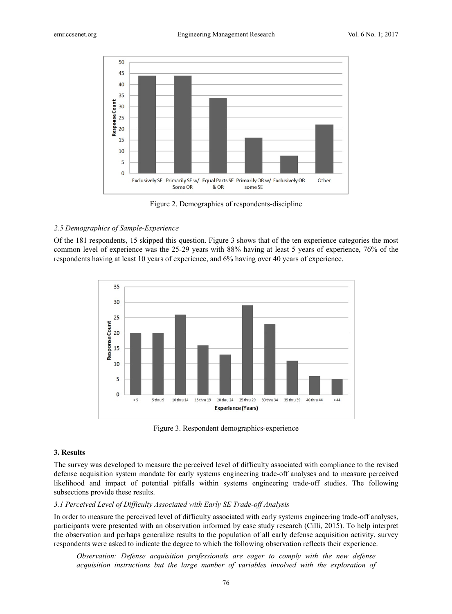

Figure 2. Demographics of respondents-discipline

#### *2.5 Demographics of Sample-Experience*

Of the 181 respondents, 15 skipped this question. Figure 3 shows that of the ten experience categories the most common level of experience was the 25-29 years with 88% having at least 5 years of experience, 76% of the respondents having at least 10 years of experience, and 6% having over 40 years of experience.



Figure 3. Respondent demographics-experience

# **3. Results**

The survey was developed to measure the perceived level of difficulty associated with compliance to the revised defense acquisition system mandate for early systems engineering trade-off analyses and to measure perceived likelihood and impact of potential pitfalls within systems engineering trade-off studies. The following subsections provide these results.

## *3.1 Perceived Level of Difficulty Associated with Early SE Trade-off Analysis*

In order to measure the perceived level of difficulty associated with early systems engineering trade-off analyses, participants were presented with an observation informed by case study research (Cilli, 2015). To help interpret the observation and perhaps generalize results to the population of all early defense acquisition activity, survey respondents were asked to indicate the degree to which the following observation reflects their experience.

*Observation: Defense acquisition professionals are eager to comply with the new defense acquisition instructions but the large number of variables involved with the exploration of*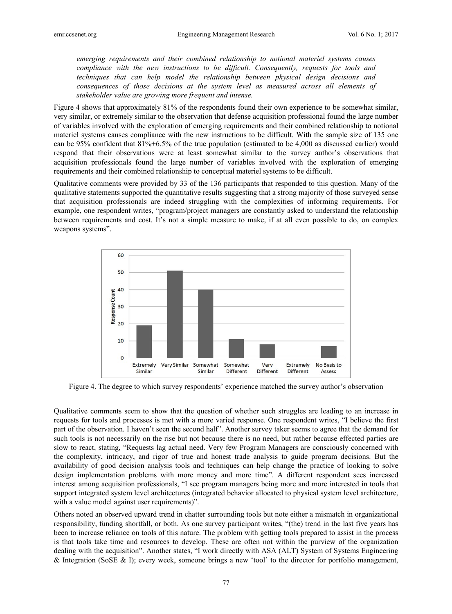*emerging requirements and their combined relationship to notional materiel systems causes compliance with the new instructions to be difficult. Consequently, requests for tools and techniques that can help model the relationship between physical design decisions and consequences of those decisions at the system level as measured across all elements of stakeholder value are growing more frequent and intense.* 

Figure 4 shows that approximately 81% of the respondents found their own experience to be somewhat similar, very similar, or extremely similar to the observation that defense acquisition professional found the large number of variables involved with the exploration of emerging requirements and their combined relationship to notional materiel systems causes compliance with the new instructions to be difficult. With the sample size of 135 one can be 95% confident that 81%+6.5% of the true population (estimated to be 4,000 as discussed earlier) would respond that their observations were at least somewhat similar to the survey author's observations that acquisition professionals found the large number of variables involved with the exploration of emerging requirements and their combined relationship to conceptual materiel systems to be difficult.

Qualitative comments were provided by 33 of the 136 participants that responded to this question. Many of the qualitative statements supported the quantitative results suggesting that a strong majority of those surveyed sense that acquisition professionals are indeed struggling with the complexities of informing requirements. For example, one respondent writes, "program/project managers are constantly asked to understand the relationship between requirements and cost. It's not a simple measure to make, if at all even possible to do, on complex weapons systems".



Figure 4. The degree to which survey respondents' experience matched the survey author's observation

Qualitative comments seem to show that the question of whether such struggles are leading to an increase in requests for tools and processes is met with a more varied response. One respondent writes, "I believe the first part of the observation. I haven't seen the second half". Another survey taker seems to agree that the demand for such tools is not necessarily on the rise but not because there is no need, but rather because effected parties are slow to react, stating, "Requests lag actual need. Very few Program Managers are consciously concerned with the complexity, intricacy, and rigor of true and honest trade analysis to guide program decisions. But the availability of good decision analysis tools and techniques can help change the practice of looking to solve design implementation problems with more money and more time". A different respondent sees increased interest among acquisition professionals, "I see program managers being more and more interested in tools that support integrated system level architectures (integrated behavior allocated to physical system level architecture, with a value model against user requirements)".

Others noted an observed upward trend in chatter surrounding tools but note either a mismatch in organizational responsibility, funding shortfall, or both. As one survey participant writes, "(the) trend in the last five years has been to increase reliance on tools of this nature. The problem with getting tools prepared to assist in the process is that tools take time and resources to develop. These are often not within the purview of the organization dealing with the acquisition". Another states, "I work directly with ASA (ALT) System of Systems Engineering & Integration (SoSE & I); every week, someone brings a new 'tool' to the director for portfolio management,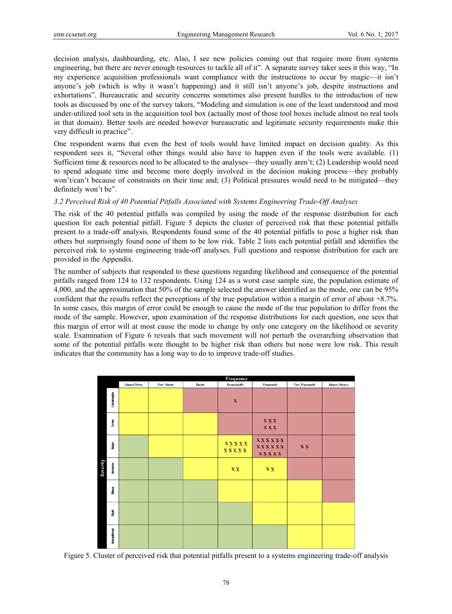decision analysis, dashboarding, etc. Also, I see new policies coming out that require more from systems engineering, but there are never enough resources to tackle all of it". A separate survey taker sees it this way, "In my experience acquisition professionals want compliance with the instructions to occur by magic—it isn't anyone's job (which is why it wasn't happening) and it still isn't anyone's job, despite instructions and exhortations". Bureaucratic and security concerns sometimes also present hurdles to the introduction of new tools as discussed by one of the survey takers, "Modeling and simulation is one of the least understood and most under-utilized tool sets in the acquisition tool box (actually most of those tool boxes include almost no real tools in that domain). Better tools are needed however bureaucratic and legitimate security requirements make this very difficult in practice".

One respondent warns that even the best of tools would have limited impact on decision quality. As this respondent sees it, "Several other things would also have to happen even if the tools were available. (1) Sufficient time  $\&$  resources need to be allocated to the analyses—they usually aren't; (2) Leadership would need to spend adequate time and become more deeply involved in the decision making process—they probably won't/can't because of constraints on their time and; (3) Political pressures would need to be mitigated—they definitely won't be".

# *3.2 Perceived Risk of 40 Potential Pitfalls Associated with Systems Engineering Trade-Off Analyses*

The risk of the 40 potential pitfalls was compiled by using the mode of the response distribution for each question for each potential pitfall. Figure 5 depicts the cluster of perceived risk that these potential pitfalls present to a trade-off analysis. Respondents found some of the 40 potential pitfalls to pose a higher risk than others but surprisingly found none of them to be low risk. Table 2 lists each potential pitfall and identifies the perceived risk to systems engineering trade-off analyses. Full questions and response distribution for each are provided in the Appendix.

The number of subjects that responded to these questions regarding likelihood and consequence of the potential pitfalls ranged from 124 to 132 respondents. Using 124 as a worst case sample size, the population estimate of 4,000, and the approximation that 50% of the sample selected the answer identified as the mode, one can be 95% confident that the results reflect the perceptions of the true population within a margin of error of about +8.7%. In some cases, this margin of error could be enough to cause the mode of the true population to differ from the mode of the sample. However, upon examination of the response distributions for each question, one sees that this margin of error will at most cause the mode to change by only one category on the likelihood or severity scale. Examination of Figure 6 reveals that such movement will not perturb the overarching observation that some of the potential pitfalls were thought to be higher risk than others but none were low risk. This result indicates that the community has a long way to do to improve trade-off studies.

|          |               |              |             |        | Frequency              |                                      |                                      |               |
|----------|---------------|--------------|-------------|--------|------------------------|--------------------------------------|--------------------------------------|---------------|
|          |               | Almost Never | Very Rarely | Rarely | Occasionally           | Frequently                           | Very Frequently                      | Almost Always |
|          | Catastrophic  |              |             |        | $\mathbf x$            |                                      |                                      |               |
|          | Severe        |              |             |        |                        | <b>XXX</b><br><b>XXX</b>             |                                      |               |
|          | Major         |              |             |        | XXXXX<br>XXXXX         | <b>XXXXXX</b><br>XXXXXX<br>XXXXX     | $\mathbf{X}\ \underline{\mathbf{X}}$ |               |
| Severity | Moderate      |              |             |        | $X \underset{\sim}{X}$ | $\mathbf{X}\ \underline{\mathbf{X}}$ |                                      |               |
|          | Minor         |              |             |        |                        |                                      |                                      |               |
|          | Slight        |              |             |        |                        |                                      |                                      |               |
|          | Insignificant |              |             |        |                        |                                      |                                      |               |

Figure 5. Cluster of perceived risk that potential pitfalls present to a systems engineering trade-off analysis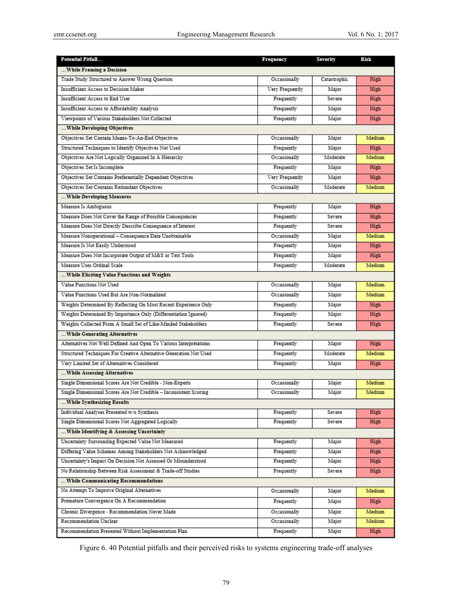| <b>Potential Pitfall</b>                                           | Frequency       | Severity     | Risk   |  |  |  |  |
|--------------------------------------------------------------------|-----------------|--------------|--------|--|--|--|--|
| While Framing a Decision                                           |                 |              |        |  |  |  |  |
| Trade Study Structured to Answer Wrong Question                    | Occasionally    | Catastrophic | High   |  |  |  |  |
| Insufficient Access to Decision Maker                              | Very Frequently | Major        | High   |  |  |  |  |
| Insufficient Access to End User                                    | Frequently      | Severe       | High   |  |  |  |  |
| Insufficient Access to Affordability Analysis                      | Frequently      | Major        | High   |  |  |  |  |
| Viewpoints of Various Stakeholders Not Collected                   | Frequently      | Major        | High   |  |  |  |  |
| While Developing Objectives                                        |                 |              |        |  |  |  |  |
| Objectives Set Contain Means-To-An-End Objectives                  | Occasionally    | Major        | Medium |  |  |  |  |
| Structured Techniques to Identify Objectives Not Used              | Frequently      | Major        | High   |  |  |  |  |
| Objectives Are Not Logically Organized In A Hierarchy              | Occasionally    | Moderate     | Medium |  |  |  |  |
| Objectives Set Is Incomplete                                       | Frequently      | Major        | High   |  |  |  |  |
| Objectives Set Contains Preferentially Dependent Objectives        | Very Frequently | Major        | High   |  |  |  |  |
| Objectives Set Contains Redundant Objectives                       | Occasionally    | Moderate     | Medium |  |  |  |  |
| While Developing Measures                                          |                 |              |        |  |  |  |  |
| Measure Is Ambiguous                                               | Frequently      | Major        | High   |  |  |  |  |
| Measure Does Not Cover the Range of Possible Consequences          | Frequently      | Severe       | High   |  |  |  |  |
| Measure Does Not Directly Describe Consequence of Interest         | Frequently      | Severe       | High   |  |  |  |  |
| Measure Nonoperational - Consequence Data Unobtainable             | Occasionally    | Major        | Medium |  |  |  |  |
| Measure Is Not Easily Understood                                   | Frequently      | Major        | High   |  |  |  |  |
| Measure Does Not Incorporate Output of M&S or Test Tools           | Frequently      | Major        | High   |  |  |  |  |
| Measure Uses Ordinal Scale                                         | Frequently      | Moderate     | Medium |  |  |  |  |
| While Eliciting Value Functions and Weights                        |                 |              |        |  |  |  |  |
| Value Functions Not Used                                           | Occasionally    | Major        | Medium |  |  |  |  |
| Value Functions Used But Are Non-Normalized                        | Occasionally    | Major        | Medium |  |  |  |  |
| Weights Determined By Reflecting On Most Recent Experience Only    | Frequently      | Major        | High   |  |  |  |  |
| Weights Determined By Importance Only (Differentiation Ignored)    | Frequently      | Major        | High   |  |  |  |  |
| Weights Collected From A Small Set of Like-Minded Stakeholders     | Frequently      | Severe       | High   |  |  |  |  |
| While Generating Alternatives                                      |                 |              |        |  |  |  |  |
| Alternatives Not Well Defined And Open To Various Interpretations  | Frequently      | Major        | High   |  |  |  |  |
| Structured Techniques For Creative Alternative Generation Not Used | Frequently      | Moderate     | Medium |  |  |  |  |
| Very Limited Set of Alternatives Considered                        | Frequently      | Major        | High   |  |  |  |  |
| While Assessing Alternatives                                       |                 |              |        |  |  |  |  |
| Single Dimensional Scores Are Not Credible - Non-Experts           | Occasionally    | Major        | Medium |  |  |  |  |
| Single Dimensional Scores Are Not Credible - Inconsistent Scoring  | Occasionally    | Major        | Medium |  |  |  |  |
| While Synthesizing Results                                         |                 |              |        |  |  |  |  |
| Individual Analyses Presented w/o Synthesis                        | Frequently      | Severe       | High   |  |  |  |  |
| Single Dimensional Scores Not Aggregated Logically                 | Frequently      | Severe       | High   |  |  |  |  |
| While Identifying & Assessing Uncertainty                          |                 |              |        |  |  |  |  |
| Uncertainty Surrounding Expected Value Not Measured                | Frequently      | Major        | High   |  |  |  |  |
| Differing Value Schemes Among Stakeholders Not Acknowledged        | Frequently      | Major        | High   |  |  |  |  |
| Uncertainty's Impact On Decision Not Assessed Or Misunderstood     | Frequently      | Major        | High   |  |  |  |  |
| No Relationship Between Risk Assessment & Trade-off Studies        | Frequently      | Severe       | High   |  |  |  |  |
| While Communicating Recommendations                                |                 |              |        |  |  |  |  |
| No Attempt To Improve Original Alternatives                        | Occasionally    | Major        | Medium |  |  |  |  |
| Premature Convergence On A Recommendation                          | Frequently      | Major        | High   |  |  |  |  |
| Chronic Divergence - Recommendation Never Made                     | Occasionally    | Major        | Medium |  |  |  |  |
| Recommendation Unclear                                             | Occasionally    | Major        | Medium |  |  |  |  |
| Recommendation Presented Without Implementation Plan               | Frequently      | Major        | High   |  |  |  |  |

Figure 6. 40 Potential pitfalls and their perceived risks to systems engineering trade-off analyses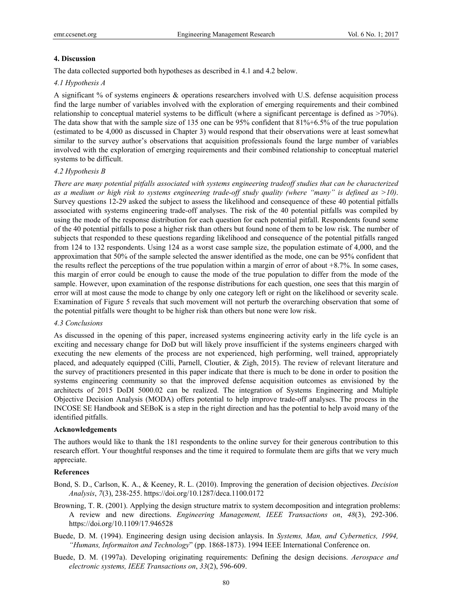## **4. Discussion**

The data collected supported both hypotheses as described in 4.1 and 4.2 below.

## *4.1 Hypothesis A*

A significant % of systems engineers & operations researchers involved with U.S. defense acquisition process find the large number of variables involved with the exploration of emerging requirements and their combined relationship to conceptual materiel systems to be difficult (where a significant percentage is defined as >70%). The data show that with the sample size of 135 one can be 95% confident that 81%+6.5% of the true population (estimated to be 4,000 as discussed in Chapter 3) would respond that their observations were at least somewhat similar to the survey author's observations that acquisition professionals found the large number of variables involved with the exploration of emerging requirements and their combined relationship to conceptual materiel systems to be difficult.

## *4.2 Hypothesis B*

*There are many potential pitfalls associated with systems engineering tradeoff studies that can be characterized as a medium or high risk to systems engineering trade-off study quality (where "many" is defined as >10)*. Survey questions 12-29 asked the subject to assess the likelihood and consequence of these 40 potential pitfalls associated with systems engineering trade-off analyses. The risk of the 40 potential pitfalls was compiled by using the mode of the response distribution for each question for each potential pitfall. Respondents found some of the 40 potential pitfalls to pose a higher risk than others but found none of them to be low risk. The number of subjects that responded to these questions regarding likelihood and consequence of the potential pitfalls ranged from 124 to 132 respondents. Using 124 as a worst case sample size, the population estimate of 4,000, and the approximation that 50% of the sample selected the answer identified as the mode, one can be 95% confident that the results reflect the perceptions of the true population within a margin of error of about +8.7%. In some cases, this margin of error could be enough to cause the mode of the true population to differ from the mode of the sample. However, upon examination of the response distributions for each question, one sees that this margin of error will at most cause the mode to change by only one category left or right on the likelihood or severity scale. Examination of Figure 5 reveals that such movement will not perturb the overarching observation that some of the potential pitfalls were thought to be higher risk than others but none were low risk.

## *4.3 Conclusions*

As discussed in the opening of this paper, increased systems engineering activity early in the life cycle is an exciting and necessary change for DoD but will likely prove insufficient if the systems engineers charged with executing the new elements of the process are not experienced, high performing, well trained, appropriately placed, and adequately equipped (Cilli, Parnell, Cloutier, & Zigh, 2015). The review of relevant literature and the survey of practitioners presented in this paper indicate that there is much to be done in order to position the systems engineering community so that the improved defense acquisition outcomes as envisioned by the architects of 2015 DoDI 5000.02 can be realized. The integration of Systems Engineering and Multiple Objective Decision Analysis (MODA) offers potential to help improve trade-off analyses. The process in the INCOSE SE Handbook and SEBoK is a step in the right direction and has the potential to help avoid many of the identified pitfalls.

## **Acknowledgements**

The authors would like to thank the 181 respondents to the online survey for their generous contribution to this research effort. Your thoughtful responses and the time it required to formulate them are gifts that we very much appreciate.

## **References**

- Bond, S. D., Carlson, K. A., & Keeney, R. L. (2010). Improving the generation of decision objectives. *Decision Analysis*, *7*(3), 238-255. https://doi.org/10.1287/deca.1100.0172
- Browning, T. R. (2001). Applying the design structure matrix to system decomposition and integration problems: A review and new directions. *Engineering Management, IEEE Transactions on*, *48*(3), 292-306. https://doi.org/10.1109/17.946528
- Buede, D. M. (1994). Engineering design using decision anlaysis. In *Systems, Man, and Cybernetics, 1994, "Humans, Informaiton and Technology*" (pp. 1868-1873). 1994 IEEE International Conference on.
- Buede, D. M. (1997a). Developing originating requirements: Defining the design decisions. *Aerospace and electronic systems, IEEE Transactions on*, *33*(2), 596-609.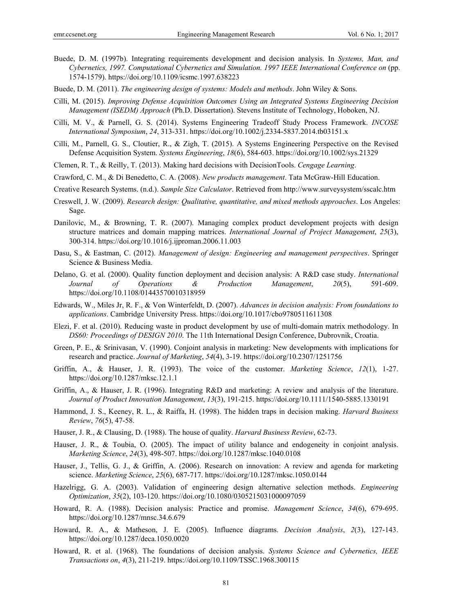- Buede, D. M. (1997b). Integrating requirements development and decision analysis. In *Systems, Man, and Cybernetics, 1997. Computational Cybernetics and Simulation. 1997 IEEE International Conference on* (pp. 1574-1579). https://doi.org/10.1109/icsmc.1997.638223
- Buede, D. M. (2011). *The engineering design of systems: Models and methods*. John Wiley & Sons.
- Cilli, M. (2015). *Improving Defense Acquisition Outcomes Using an Integrated Systems Engineering Decision Management (ISEDM) Approach* (Ph.D. Dissertation). Stevens Institute of Technology, Hoboken, NJ.
- Cilli, M. V., & Parnell, G. S. (2014). Systems Engineering Tradeoff Study Process Framework. *INCOSE International Symposium*, *24*, 313-331. https://doi.org/10.1002/j.2334-5837.2014.tb03151.x
- Cilli, M., Parnell, G. S., Cloutier, R., & Zigh, T. (2015). A Systems Engineering Perspective on the Revised Defense Acquisition System. *Systems Engineering*, *18*(6), 584-603. https://doi.org/10.1002/sys.21329
- Clemen, R. T., & Reilly, T. (2013). Making hard decisions with DecisionTools. *Cengage Learning*.
- Crawford, C. M., & Di Benedetto, C. A. (2008). *New products management*. Tata McGraw-Hill Education.
- Creative Research Systems. (n.d.). *Sample Size Calculator*. Retrieved from http://www.surveysystem/sscalc.htm
- Creswell, J. W. (2009). *Research design: Qualitative, quantitative, and mixed methods approaches*. Los Angeles: Sage.
- Danilovic, M., & Browning, T. R. (2007). Managing complex product development projects with design structure matrices and domain mapping matrices. *International Journal of Project Management*, *25*(3), 300-314. https://doi.org/10.1016/j.ijproman.2006.11.003
- Dasu, S., & Eastman, C. (2012). *Management of design: Engineering and management perspectives*. Springer Science & Business Media.
- Delano, G. et al. (2000). Quality function deployment and decision analysis: A R&D case study. *International Journal of Operations & Production Management*, *20*(5), 591-609. https://doi.org/10.1108/01443570010318959
- Edwards, W., Miles Jr, R. F., & Von Winterfeldt, D. (2007). *Advances in decision analysis: From foundations to applications*. Cambridge University Press. https://doi.org/10.1017/cbo9780511611308
- Elezi, F. et al. (2010). Reducing waste in product development by use of multi-domain matrix methodology. In *DS60: Proceedings of DESIGN 2010*. The 11th International Design Conference, Dubrovnik, Croatia.
- Green, P. E., & Srinivasan, V. (1990). Conjoint analysis in marketing: New developments with implications for research and practice. *Journal of Marketing*, *54*(4), 3-19. https://doi.org/10.2307/1251756
- Griffin, A., & Hauser, J. R. (1993). The voice of the customer. *Marketing Science*, *12*(1), 1-27. https://doi.org/10.1287/mksc.12.1.1
- Griffin, A., & Hauser, J. R. (1996). Integrating R&D and marketing: A review and analysis of the literature. *Journal of Product Innovation Management*, *13*(3), 191-215. https://doi.org/10.1111/1540-5885.1330191
- Hammond, J. S., Keeney, R. L., & Raiffa, H. (1998). The hidden traps in decision making. *Harvard Business Review*, *76*(5), 47-58.
- Hauser, J. R., & Clausing, D. (1988). The house of quality. *Harvard Business Review*, 62-73.
- Hauser, J. R., & Toubia, O. (2005). The impact of utility balance and endogeneity in conjoint analysis. *Marketing Science*, *24*(3), 498-507. https://doi.org/10.1287/mksc.1040.0108
- Hauser, J., Tellis, G. J., & Griffin, A. (2006). Research on innovation: A review and agenda for marketing science. *Marketing Science*, *25*(6), 687-717. https://doi.org/10.1287/mksc.1050.0144
- Hazelrigg, G. A. (2003). Validation of engineering design alternative selection methods. *Engineering Optimization*, *35*(2), 103-120. https://doi.org/10.1080/0305215031000097059
- Howard, R. A. (1988). Decision analysis: Practice and promise. *Management Science*, *34*(6), 679-695. https://doi.org/10.1287/mnsc.34.6.679
- Howard, R. A., & Matheson, J. E. (2005). Influence diagrams. *Decision Analysis*, *2*(3), 127-143. https://doi.org/10.1287/deca.1050.0020
- Howard, R. et al. (1968). The foundations of decision analysis. *Systems Science and Cybernetics, IEEE Transactions on*, *4*(3), 211-219. https://doi.org/10.1109/TSSC.1968.300115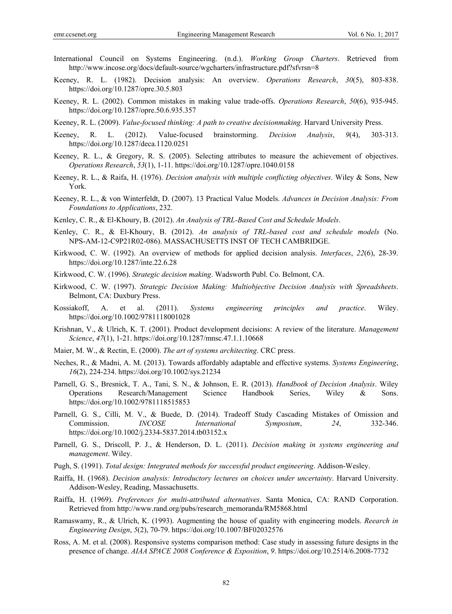- International Council on Systems Engineering. (n.d.). *Working Group Charters*. Retrieved from http://www.incose.org/docs/default-source/wgcharters/infrastructure.pdf?sfvrsn=8
- Keeney, R. L. (1982). Decision analysis: An overview. *Operations Research*, *30*(5), 803-838. https://doi.org/10.1287/opre.30.5.803
- Keeney, R. L. (2002). Common mistakes in making value trade-offs. *Operations Research*, *50*(6), 935-945. https://doi.org/10.1287/opre.50.6.935.357
- Keeney, R. L. (2009). *Value-focused thinking: A path to creative decisionmaking*. Harvard University Press.
- Keeney, R. L. (2012). Value-focused brainstorming. *Decision Analysis*, *9*(4), 303-313. https://doi.org/10.1287/deca.1120.0251
- Keeney, R. L., & Gregory, R. S. (2005). Selecting attributes to measure the achievement of objectives. *Operations Research*, *53*(1), 1-11. https://doi.org/10.1287/opre.1040.0158
- Keeney, R. L., & Raifa, H. (1976). *Decision analysis with multiple conflicting objectives*. Wiley & Sons, New York.
- Keeney, R. L., & von Winterfeldt, D. (2007). 13 Practical Value Models. *Advances in Decision Analysis: From Foundations to Applications*, 232.
- Kenley, C. R., & El-Khoury, B. (2012). *An Analysis of TRL-Based Cost and Schedule Models*.
- Kenley, C. R., & El-Khoury, B. (2012). *An analysis of TRL-based cost and schedule models* (No. NPS-AM-12-C9P21R02-086). MASSACHUSETTS INST OF TECH CAMBRIDGE.
- Kirkwood, C. W. (1992). An overview of methods for applied decision analysis. *Interfaces*, *22*(6), 28-39. https://doi.org/10.1287/inte.22.6.28
- Kirkwood, C. W. (1996). *Strategic decision making*. Wadsworth Publ. Co. Belmont, CA.
- Kirkwood, C. W. (1997). *Strategic Decision Making: Multiobjective Decision Analysis with Spreadsheets*. Belmont, CA: Duxbury Press.
- Kossiakoff, A. et al. (2011). *Systems engineering principles and practice*. Wiley. https://doi.org/10.1002/9781118001028
- Krishnan, V., & Ulrich, K. T. (2001). Product development decisions: A review of the literature. *Management Science*, *47*(1), 1-21. https://doi.org/10.1287/mnsc.47.1.1.10668
- Maier, M. W., & Rectin, E. (2000). *The art of systems architecting*. CRC press.
- Neches, R., & Madni, A. M. (2013). Towards affordably adaptable and effective systems. *Systems Engineering*, *16*(2), 224-234. https://doi.org/10.1002/sys.21234
- Parnell, G. S., Bresnick, T. A., Tani, S. N., & Johnson, E. R. (2013). *Handbook of Decision Analysis*. Wiley Operations Research/Management Science Handbook Series, Wiley & Sons. https://doi.org/10.1002/9781118515853
- Parnell, G. S., Cilli, M. V., & Buede, D. (2014). Tradeoff Study Cascading Mistakes of Omission and Commission. *INCOSE International Symposium*, *24*, 332-346. https://doi.org/10.1002/j.2334-5837.2014.tb03152.x
- Parnell, G. S., Driscoll, P. J., & Henderson, D. L. (2011). *Decision making in systems engineering and management*. Wiley.
- Pugh, S. (1991). *Total design: Integrated methods for successful product engineering*. Addison-Wesley.
- Raiffa, H. (1968). *Decision analysis: Introductory lectures on choices under uncertainty*. Harvard University. Addison-Wesley, Reading, Massachusetts.
- Raiffa, H. (1969). *Preferences for multi-attributed alternatives*. Santa Monica, CA: RAND Corporation. Retrieved from http://www.rand.org/pubs/research\_memoranda/RM5868.html
- Ramaswamy, R., & Ulrich, K. (1993). Augmenting the house of quality with engineering models. *Reearch in Engineering Design*, *5*(2), 70-79. https://doi.org/10.1007/BF02032576
- Ross, A. M. et al. (2008). Responsive systems comparison method: Case study in assessing future designs in the presence of change. *AIAA SPACE 2008 Conference & Exposition*, *9*. https://doi.org/10.2514/6.2008-7732